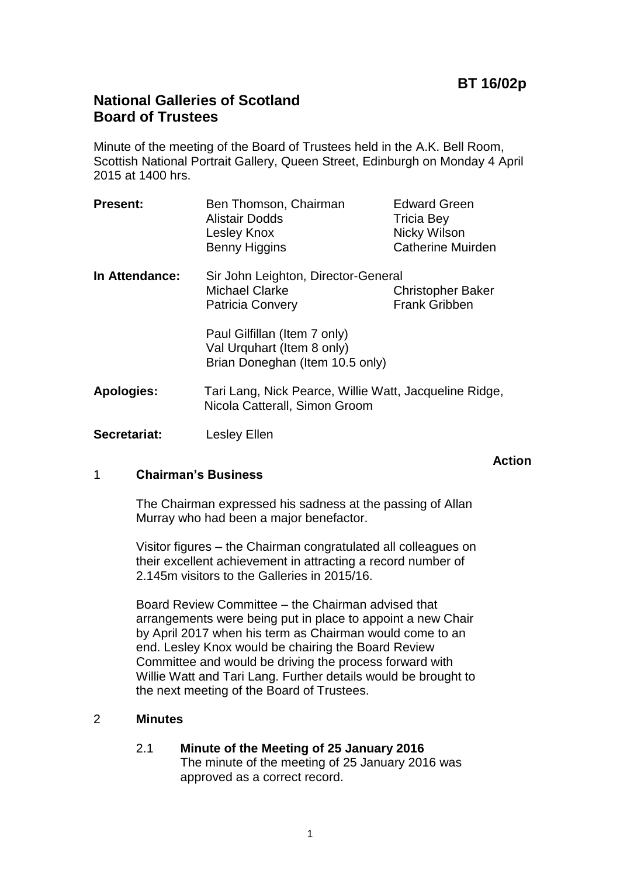**Action**

# **National Galleries of Scotland Board of Trustees**

Minute of the meeting of the Board of Trustees held in the A.K. Bell Room, Scottish National Portrait Gallery, Queen Street, Edinburgh on Monday 4 April 2015 at 1400 hrs.

| <b>Present:</b>   | Ben Thomson, Chairman<br><b>Alistair Dodds</b><br>Lesley Knox<br>Benny Higgins                | <b>Edward Green</b><br><b>Tricia Bey</b><br>Nicky Wilson<br><b>Catherine Muirden</b> |
|-------------------|-----------------------------------------------------------------------------------------------|--------------------------------------------------------------------------------------|
| In Attendance:    | Sir John Leighton, Director-General<br><b>Michael Clarke</b><br><b>Patricia Convery</b>       | <b>Christopher Baker</b><br><b>Frank Gribben</b>                                     |
|                   | Paul Gilfillan (Item 7 only)<br>Val Urquhart (Item 8 only)<br>Brian Doneghan (Item 10.5 only) |                                                                                      |
| <b>Apologies:</b> | Tari Lang, Nick Pearce, Willie Watt, Jacqueline Ridge,<br>Nicola Catterall, Simon Groom       |                                                                                      |
| Secretariat:      | Lesley Ellen                                                                                  |                                                                                      |

## 1 **Chairman's Business**

The Chairman expressed his sadness at the passing of Allan Murray who had been a major benefactor.

Visitor figures – the Chairman congratulated all colleagues on their excellent achievement in attracting a record number of 2.145m visitors to the Galleries in 2015/16.

Board Review Committee – the Chairman advised that arrangements were being put in place to appoint a new Chair by April 2017 when his term as Chairman would come to an end. Lesley Knox would be chairing the Board Review Committee and would be driving the process forward with Willie Watt and Tari Lang. Further details would be brought to the next meeting of the Board of Trustees.

## 2 **Minutes**

2.1 **Minute of the Meeting of 25 January 2016** The minute of the meeting of 25 January 2016 was approved as a correct record.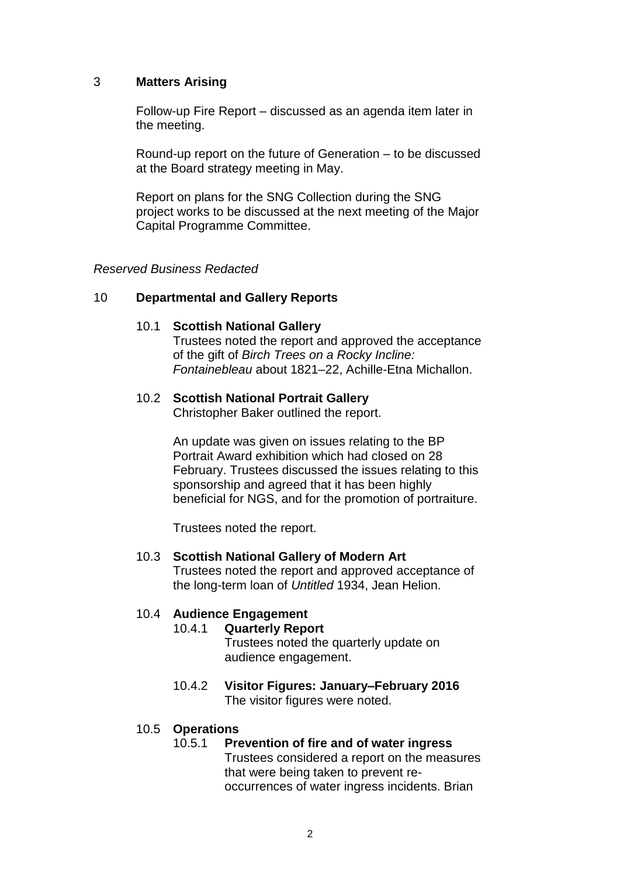## 3 **Matters Arising**

Follow-up Fire Report – discussed as an agenda item later in the meeting.

Round-up report on the future of Generation – to be discussed at the Board strategy meeting in May.

Report on plans for the SNG Collection during the SNG project works to be discussed at the next meeting of the Major Capital Programme Committee.

### *Reserved Business Redacted*

## 10 **Departmental and Gallery Reports**

#### 10.1 **Scottish National Gallery**

Trustees noted the report and approved the acceptance of the gift of *Birch Trees on a Rocky Incline: Fontainebleau* about 1821–22, Achille-Etna Michallon.

## 10.2 **Scottish National Portrait Gallery**

Christopher Baker outlined the report.

An update was given on issues relating to the BP Portrait Award exhibition which had closed on 28 February. Trustees discussed the issues relating to this sponsorship and agreed that it has been highly beneficial for NGS, and for the promotion of portraiture.

Trustees noted the report.

#### 10.3 **Scottish National Gallery of Modern Art**

Trustees noted the report and approved acceptance of the long-term loan of *Untitled* 1934, Jean Helion.

#### 10.4 **Audience Engagement**

## 10.4.1 **Quarterly Report**

Trustees noted the quarterly update on audience engagement.

10.4.2 **Visitor Figures: January–February 2016** The visitor figures were noted.

#### 10.5 **Operations**

#### 10.5.1 **Prevention of fire and of water ingress**

Trustees considered a report on the measures that were being taken to prevent reoccurrences of water ingress incidents. Brian